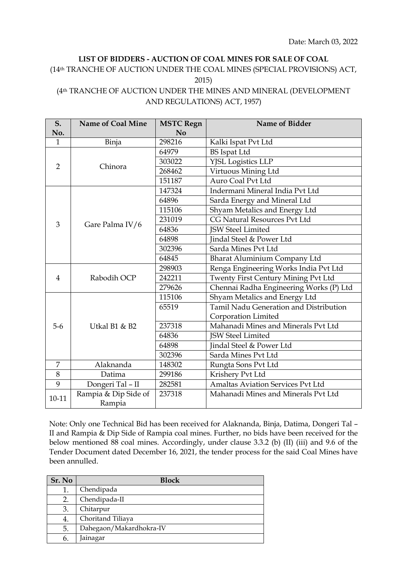## **LIST OF BIDDERS - AUCTION OF COAL MINES FOR SALE OF COAL**

## (14th TRANCHE OF AUCTION UNDER THE COAL MINES (SPECIAL PROVISIONS) ACT, 2015) (4th TRANCHE OF AUCTION UNDER THE MINES AND MINERAL (DEVELOPMENT AND REGULATIONS) ACT, 1957)

**S. No. Name of Coal Mine MSTC Regn No Name of Bidder** 1 Binja | 298216 | Kalki Ispat Pvt Ltd 2 Chinora 64979 BS Ispat Ltd 303022 YJSL Logistics LLP 268462 Virtuous Mining Ltd 151187 Auro Coal Pvt Ltd 3 Gare Palma IV/6 147324 Indermani Mineral India Pvt Ltd 64896 Sarda Energy and Mineral Ltd 115106 Shyam Metalics and Energy Ltd 231019 CG Natural Resources Pvt Ltd 64836 **ISW Steel Limited** 64898 Jindal Steel & Power Ltd 302396 Sarda Mines Pvt Ltd 64845 Bharat Aluminium Company Ltd 4 Rabodih OCP 298903 Renga Engineering Works India Pvt Ltd 242211 Twenty First Century Mining Pvt Ltd 279626 Chennai Radha Engineering Works (P) Ltd 5-6 Utkal B1 & B2 115106 Shyam Metalics and Energy Ltd 65519 Tamil Nadu Generation and Distribution Corporation Limited 237318 Mahanadi Mines and Minerals Pvt Ltd 64836 | ISW Steel Limited 64898 Jindal Steel & Power Ltd 302396 Sarda Mines Pvt Ltd 7 Alaknanda 148302 Rungta Sons Pvt Ltd 8 Datima 299186 Krishery Pvt Ltd 9 | Dongeri Tal – II | 282581 | Amaltas Aviation Services Pvt Ltd 10-11 Rampia & Dip Side of Rampia 237318 Mahanadi Mines and Minerals Pvt Ltd

Note: Only one Technical Bid has been received for Alaknanda, Binja, Datima, Dongeri Tal – II and Rampia & Dip Side of Rampia coal mines. Further, no bids have been received for the below mentioned 88 coal mines. Accordingly, under clause 3.3.2 (b) (II) (iii) and 9.6 of the Tender Document dated December 16, 2021, the tender process for the said Coal Mines have been annulled.

| Sr. No | <b>Block</b>            |
|--------|-------------------------|
| 1.     | Chendipada              |
| 2.     | Chendipada-II           |
| 3.     | Chitarpur               |
| 4.     | Choritand Tiliaya       |
| 5.     | Dahegaon/Makardhokra-IV |
| 6.     | Jainagar                |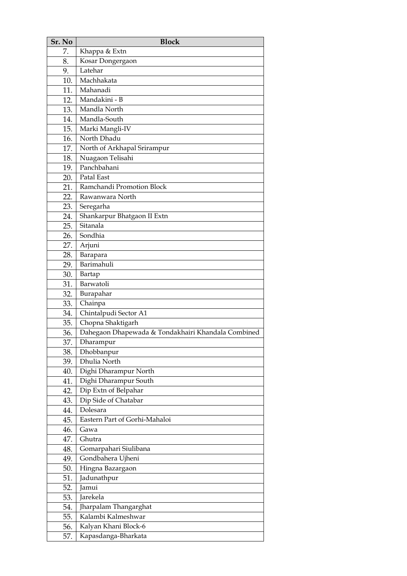| Sr. No | <b>Block</b>                                       |
|--------|----------------------------------------------------|
| 7.     | Khappa & Extn                                      |
| 8.     | Kosar Dongergaon                                   |
| 9.     | Latehar                                            |
| 10.    | Machhakata                                         |
| 11.    | Mahanadi                                           |
| 12.    | Mandakini - B                                      |
| 13.    | Mandla North                                       |
| 14.    | Mandla-South                                       |
| 15.    | Marki Mangli-IV                                    |
| 16.    | North Dhadu                                        |
| 17.    | North of Arkhapal Srirampur                        |
| 18.    | Nuagaon Telisahi                                   |
| 19.    | Panchbahani                                        |
| 20.    | Patal East                                         |
| 21.    | Ramchandi Promotion Block                          |
| 22.    | Rawanwara North                                    |
| 23.    | Seregarha                                          |
| 24.    | Shankarpur Bhatgaon II Extn                        |
| 25.    | Sitanala                                           |
| 26.    | Sondhia                                            |
| 27.    | Arjuni                                             |
| 28.    | Barapara                                           |
| 29.    | Barimahuli                                         |
| 30.    | Bartap                                             |
| 31.    | Barwatoli                                          |
| 32.    | Burapahar                                          |
| 33.    | Chainpa                                            |
| 34.    | Chintalpudi Sector A1                              |
| 35.    | Chopna Shaktigarh                                  |
| 36.    | Dahegaon Dhapewada & Tondakhairi Khandala Combined |
| 37.    | Dharampur                                          |
| 38.    | Dhobbanpur                                         |
| 39.    | Dhulia North                                       |
| 40.    | Dighi Dharampur North                              |
| 41.    | Dighi Dharampur South                              |
| 42.    | Dip Extn of Belpahar                               |
| 43.    | Dip Side of Chatabar                               |
| 44.    | Dolesara                                           |
| 45.    | Eastern Part of Gorhi-Mahaloi                      |
| 46.    | Gawa                                               |
| 47.    | Ghutra                                             |
| 48.    | Gomarpahari Siulibana                              |
| 49.    | Gondbahera Ujheni                                  |
| 50.    | Hingna Bazargaon                                   |
| 51.    | Jadunathpur                                        |
| 52.    | Jamui                                              |
| 53.    | Jarekela                                           |
| 54.    | Jharpalam Thangarghat                              |
| 55.    | Kalambi Kalmeshwar                                 |
| 56.    | Kalyan Khani Block-6                               |
| 57.    | Kapasdanga-Bharkata                                |
|        |                                                    |